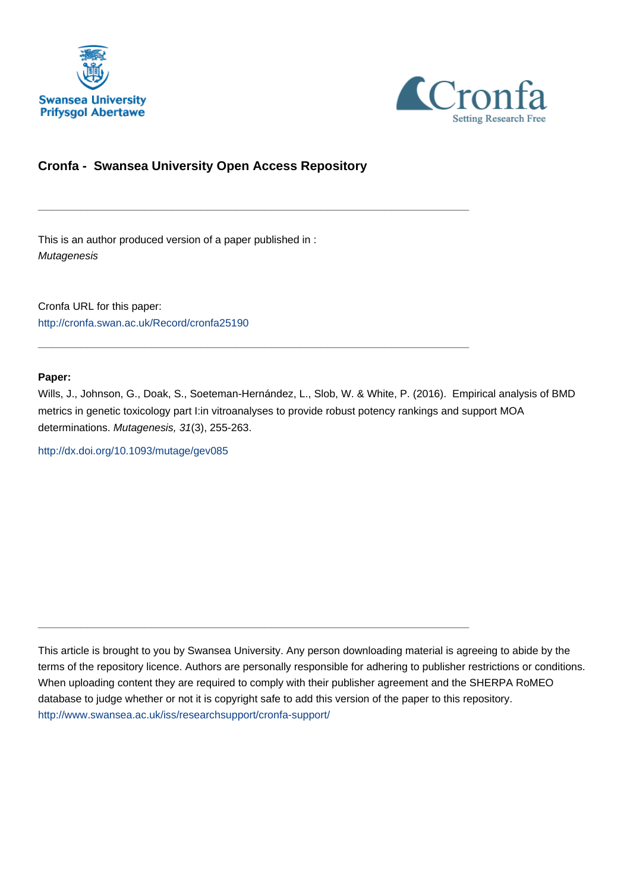



# **Cronfa - Swansea University Open Access Repository**

\_\_\_\_\_\_\_\_\_\_\_\_\_\_\_\_\_\_\_\_\_\_\_\_\_\_\_\_\_\_\_\_\_\_\_\_\_\_\_\_\_\_\_\_\_\_\_\_\_\_\_\_\_\_\_\_\_\_\_\_\_

 $\_$  , and the set of the set of the set of the set of the set of the set of the set of the set of the set of the set of the set of the set of the set of the set of the set of the set of the set of the set of the set of th

\_\_\_\_\_\_\_\_\_\_\_\_\_\_\_\_\_\_\_\_\_\_\_\_\_\_\_\_\_\_\_\_\_\_\_\_\_\_\_\_\_\_\_\_\_\_\_\_\_\_\_\_\_\_\_\_\_\_\_\_\_

This is an author produced version of a paper published in : **Mutagenesis** 

Cronfa URL for this paper: <http://cronfa.swan.ac.uk/Record/cronfa25190>

# **Paper:**

Wills, J., Johnson, G., Doak, S., Soeteman-Hernández, L., Slob, W. & White, P. (2016). Empirical analysis of BMD metrics in genetic toxicology part I:in vitroanalyses to provide robust potency rankings and support MOA determinations. Mutagenesis, 31(3), 255-263.

<http://dx.doi.org/10.1093/mutage/gev085>

This article is brought to you by Swansea University. Any person downloading material is agreeing to abide by the terms of the repository licence. Authors are personally responsible for adhering to publisher restrictions or conditions. When uploading content they are required to comply with their publisher agreement and the SHERPA RoMEO database to judge whether or not it is copyright safe to add this version of the paper to this repository. [http://www.swansea.ac.uk/iss/researchsupport/cronfa-support/](http://www.swansea.ac.uk/iss/researchsupport/cronfa-support/ )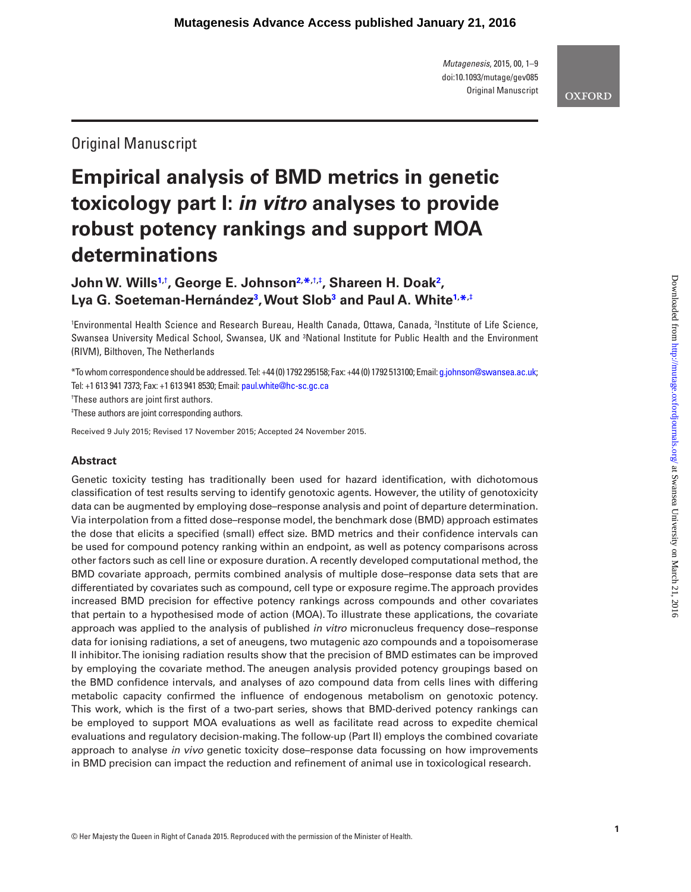*Mutagenesis*, 2015, 00, 1–9 doi:10.1093/mutage/gev085 Original Manuscript

# **OXFORD**

Original Manuscript

# **Empirical analysis of BMD metrics in genetic toxicology part I:** *in vitro* **analyses to provide robust potency rankings and support MOA determinations**

**John W. Wills1,**† **, George E. Johnson2, \*,**†**,**‡ **, Shareen H. Doak2 , Lya G. Soeteman-Hernández3 , Wout Slob3 and Paul A. White1, \*,**‡

1 Environmental Health Science and Research Bureau, Health Canada, Ottawa, Canada, 2 Institute of Life Science, Swansea University Medical School, Swansea, UK and <sup>3</sup>National Institute for Public Health and the Environment (RIVM), Bilthoven, The Netherlands

\*To whom correspondence should be addressed. Tel: +44 (0) 1792 295158; Fax: +44 (0) 1792 513100; Email: g.johnson@swansea.ac.uk; Tel: +1 613 941 7373; Fax: +1 613 941 8530; Email: paul.white@hc-sc.gc.ca

† These authors are joint first authors.

‡ These authors are joint corresponding authors.

Received 9 July 2015; Revised 17 November 2015; Accepted 24 November 2015.

# **Abstract**

Genetic toxicity testing has traditionally been used for hazard identification, with dichotomous classification of test results serving to identify genotoxic agents. However, the utility of genotoxicity data can be augmented by employing dose–response analysis and point of departure determination. Via interpolation from a fitted dose–response model, the benchmark dose (BMD) approach estimates the dose that elicits a specified (small) effect size. BMD metrics and their confidence intervals can be used for compound potency ranking within an endpoint, as well as potency comparisons across other factors such as cell line or exposure duration. A recently developed computational method, the BMD covariate approach, permits combined analysis of multiple dose–response data sets that are differentiated by covariates such as compound, cell type or exposure regime. The approach provides increased BMD precision for effective potency rankings across compounds and other covariates that pertain to a hypothesised mode of action (MOA). To illustrate these applications, the covariate approach was applied to the analysis of published *in vitro* micronucleus frequency dose–response data for ionising radiations, a set of aneugens, two mutagenic azo compounds and a topoisomerase II inhibitor. The ionising radiation results show that the precision of BMD estimates can be improved by employing the covariate method. The aneugen analysis provided potency groupings based on the BMD confidence intervals, and analyses of azo compound data from cells lines with differing metabolic capacity confirmed the influence of endogenous metabolism on genotoxic potency. This work, which is the first of a two-part series, shows that BMD-derived potency rankings can be employed to support MOA evaluations as well as facilitate read across to expedite chemical evaluations and regulatory decision-making. The follow-up (Part II) employs the combined covariate approach to analyse *in vivo* genetic toxicity dose–response data focussing on how improvements in BMD precision can impact the reduction and refinement of animal use in toxicological research.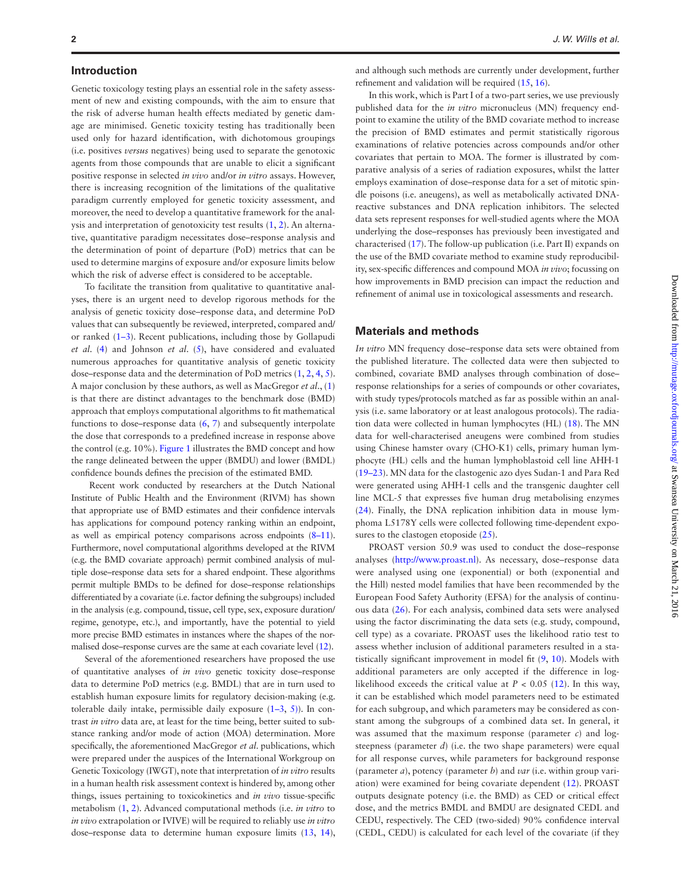#### **Introduction**

Genetic toxicology testing plays an essential role in the safety assessment of new and existing compounds, with the aim to ensure that the risk of adverse human health effects mediated by genetic damage are minimised. Genetic toxicity testing has traditionally been used only for hazard identification, with dichotomous groupings (i.e. positives *versus* negatives) being used to separate the genotoxic agents from those compounds that are unable to elicit a significant positive response in selected *in vivo* and/or *in vitro* assays. However, there is increasing recognition of the limitations of the qualitative paradigm currently employed for genetic toxicity assessment, and moreover, the need to develop a quantitative framework for the analysis and interpretation of genotoxicity test results (1, 2). An alternative, quantitative paradigm necessitates dose–response analysis and the determination of point of departure (PoD) metrics that can be used to determine margins of exposure and/or exposure limits below which the risk of adverse effect is considered to be acceptable.

To facilitate the transition from qualitative to quantitative analyses, there is an urgent need to develop rigorous methods for the analysis of genetic toxicity dose–response data, and determine PoD values that can subsequently be reviewed, interpreted, compared and/ or ranked (1–3). Recent publications, including those by Gollapudi *et al*. (4) and Johnson *et al*. (5), have considered and evaluated numerous approaches for quantitative analysis of genetic toxicity dose–response data and the determination of PoD metrics (1, 2, 4, 5). A major conclusion by these authors, as well as MacGregor *et al*., (1) is that there are distinct advantages to the benchmark dose (BMD) approach that employs computational algorithms to fit mathematical functions to dose–response data  $(6, 7)$  and subsequently interpolate the dose that corresponds to a predefined increase in response above the control (e.g. 10%). Figure 1 illustrates the BMD concept and how the range delineated between the upper (BMDU) and lower (BMDL) confidence bounds defines the precision of the estimated BMD.

 Recent work conducted by researchers at the Dutch National Institute of Public Health and the Environment (RIVM) has shown that appropriate use of BMD estimates and their confidence intervals has applications for compound potency ranking within an endpoint, as well as empirical potency comparisons across endpoints (8–11). Furthermore, novel computational algorithms developed at the RIVM (e.g. the BMD covariate approach) permit combined analysis of multiple dose–response data sets for a shared endpoint. These algorithms permit multiple BMDs to be defined for dose–response relationships differentiated by a covariate (i.e. factor defining the subgroups) included in the analysis (e.g. compound, tissue, cell type, sex, exposure duration/ regime, genotype, etc.), and importantly, have the potential to yield more precise BMD estimates in instances where the shapes of the normalised dose–response curves are the same at each covariate level (12).

Several of the aforementioned researchers have proposed the use of quantitative analyses of *in vivo* genetic toxicity dose–response data to determine PoD metrics (e.g. BMDL) that are in turn used to establish human exposure limits for regulatory decision-making (e.g. tolerable daily intake, permissible daily exposure  $(1-3, 5)$ ). In contrast *in vitro* data are, at least for the time being, better suited to substance ranking and/or mode of action (MOA) determination. More specifically, the aforementioned MacGregor *et al*. publications, which were prepared under the auspices of the International Workgroup on Genetic Toxicology (IWGT), note that interpretation of *in vitro* results in a human health risk assessment context is hindered by, among other things, issues pertaining to toxicokinetics and *in vivo* tissue-specific metabolism (1, 2). Advanced computational methods (i.e. *in vitro* to *in vivo* extrapolation or IVIVE) will be required to reliably use *in vitro* dose–response data to determine human exposure limits (13, 14),

and although such methods are currently under development, further refinement and validation will be required (15, 16).

In this work, which is Part I of a two-part series, we use previously published data for the *in vitro* micronucleus (MN) frequency endpoint to examine the utility of the BMD covariate method to increase the precision of BMD estimates and permit statistically rigorous examinations of relative potencies across compounds and/or other covariates that pertain to MOA. The former is illustrated by comparative analysis of a series of radiation exposures, whilst the latter employs examination of dose–response data for a set of mitotic spindle poisons (i.e. aneugens), as well as metabolically activated DNAreactive substances and DNA replication inhibitors. The selected data sets represent responses for well-studied agents where the MOA underlying the dose–responses has previously been investigated and characterised (17). The follow-up publication (i.e. Part II) expands on the use of the BMD covariate method to examine study reproducibility, sex-specific differences and compound MOA *in vivo*; focussing on how improvements in BMD precision can impact the reduction and refinement of animal use in toxicological assessments and research.

#### **Materials and methods**

*In vitro* MN frequency dose–response data sets were obtained from the published literature. The collected data were then subjected to combined, covariate BMD analyses through combination of dose– response relationships for a series of compounds or other covariates, with study types/protocols matched as far as possible within an analysis (i.e. same laboratory or at least analogous protocols). The radiation data were collected in human lymphocytes (HL) (18). The MN data for well-characterised aneugens were combined from studies using Chinese hamster ovary (CHO-K1) cells, primary human lymphocyte (HL) cells and the human lymphoblastoid cell line AHH-1 (19–23). MN data for the clastogenic azo dyes Sudan-1 and Para Red were generated using AHH-1 cells and the transgenic daughter cell line MCL-5 that expresses five human drug metabolising enzymes (24). Finally, the DNA replication inhibition data in mouse lymphoma L5178Y cells were collected following time-dependent exposures to the clastogen etoposide  $(25)$ .

PROAST version 50.9 was used to conduct the dose–response analyses (http://www.proast.nl). As necessary, dose–response data were analysed using one (exponential) or both (exponential and the Hill) nested model families that have been recommended by the European Food Safety Authority (EFSA) for the analysis of continuous data (26). For each analysis, combined data sets were analysed using the factor discriminating the data sets (e.g. study, compound, cell type) as a covariate. PROAST uses the likelihood ratio test to assess whether inclusion of additional parameters resulted in a statistically significant improvement in model fit (9, 10). Models with additional parameters are only accepted if the difference in loglikelihood exceeds the critical value at  $P < 0.05$  (12). In this way, it can be established which model parameters need to be estimated for each subgroup, and which parameters may be considered as constant among the subgroups of a combined data set. In general, it was assumed that the maximum response (parameter *c*) and logsteepness (parameter *d*) (i.e. the two shape parameters) were equal for all response curves, while parameters for background response (parameter *a*), potency (parameter *b*) and *var* (i.e. within group variation) were examined for being covariate dependent (12). PROAST outputs designate potency (i.e. the BMD) as CED or critical effect dose, and the metrics BMDL and BMDU are designated CEDL and CEDU, respectively. The CED (two-sided) 90% confidence interval (CEDL, CEDU) is calculated for each level of the covariate (if they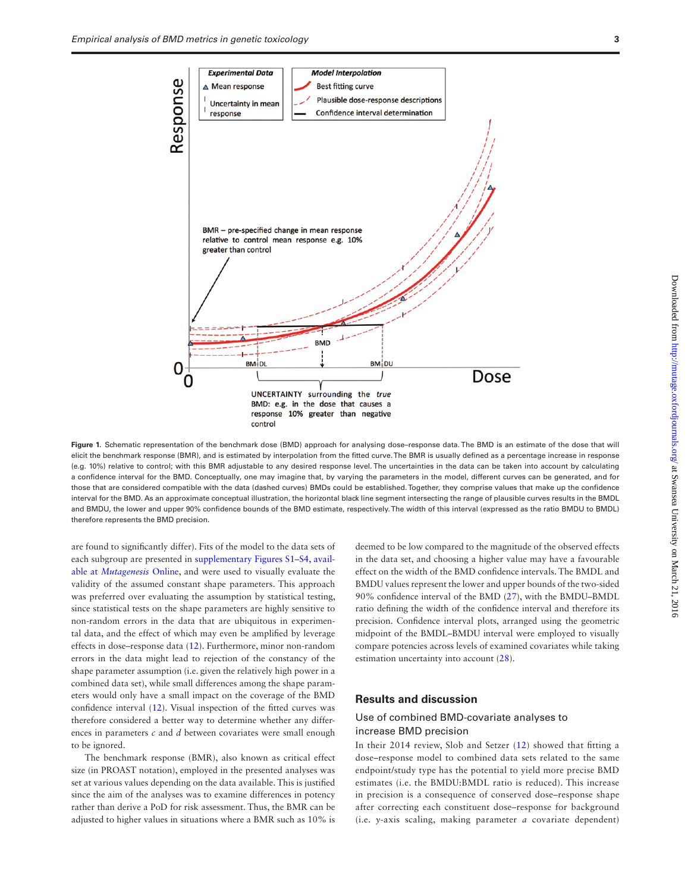

Figure 1. Schematic representation of the benchmark dose (BMD) approach for analysing dose-response data. The BMD is an estimate of the dose that will elicit the benchmark response (BMR), and is estimated by interpolation from the fitted curve. The BMR is usually defined as a percentage increase in response (e.g. 10%) relative to control; with this BMR adjustable to any desired response level. The uncertainties in the data can be taken into account by calculating a confidence interval for the BMD. Conceptually, one may imagine that, by varying the parameters in the model, different curves can be generated, and for those that are considered compatible with the data (dashed curves) BMDs could be established. Together, they comprise values that make up the confidence interval for the BMD. As an approximate conceptual illustration, the horizontal black line segment intersecting the range of plausible curves results in the BMDL and BMDU, the lower and upper 90% confidence bounds of the BMD estimate, respectively. The width of this interval (expressed as the ratio BMDU to BMDL) therefore represents the BMD precision.

are found to significantly differ). Fits of the model to the data sets of each subgroup are presented in supplementary Figures S1–S4, available at *Mutagenesis* Online, and were used to visually evaluate the validity of the assumed constant shape parameters. This approach was preferred over evaluating the assumption by statistical testing, since statistical tests on the shape parameters are highly sensitive to non-random errors in the data that are ubiquitous in experimental data, and the effect of which may even be amplified by leverage effects in dose–response data (12). Furthermore, minor non-random errors in the data might lead to rejection of the constancy of the shape parameter assumption (i.e. given the relatively high power in a combined data set), while small differences among the shape parameters would only have a small impact on the coverage of the BMD confidence interval (12). Visual inspection of the fitted curves was therefore considered a better way to determine whether any differences in parameters *c* and *d* between covariates were small enough to be ignored.

The benchmark response (BMR), also known as critical effect size (in PROAST notation), employed in the presented analyses was set at various values depending on the data available. This is justified since the aim of the analyses was to examine differences in potency rather than derive a PoD for risk assessment. Thus, the BMR can be adjusted to higher values in situations where a BMR such as 10% is

deemed to be low compared to the magnitude of the observed effects in the data set, and choosing a higher value may have a favourable effect on the width of the BMD confidence intervals. The BMDL and BMDU values represent the lower and upper bounds of the two-sided 90% confidence interval of the BMD (27), with the BMDU–BMDL ratio defining the width of the confidence interval and therefore its precision. Confidence interval plots, arranged using the geometric midpoint of the BMDL–BMDU interval were employed to visually compare potencies across levels of examined covariates while taking estimation uncertainty into account (28).

#### **Results and discussion**

## Use of combined BMD-covariate analyses to increase BMD precision

In their 2014 review, Slob and Setzer (12) showed that fitting a dose–response model to combined data sets related to the same endpoint/study type has the potential to yield more precise BMD estimates (i.e. the BMDU:BMDL ratio is reduced). This increase in precision is a consequence of conserved dose–response shape after correcting each constituent dose–response for background (i.e. *y*-axis scaling, making parameter *a* covariate dependent)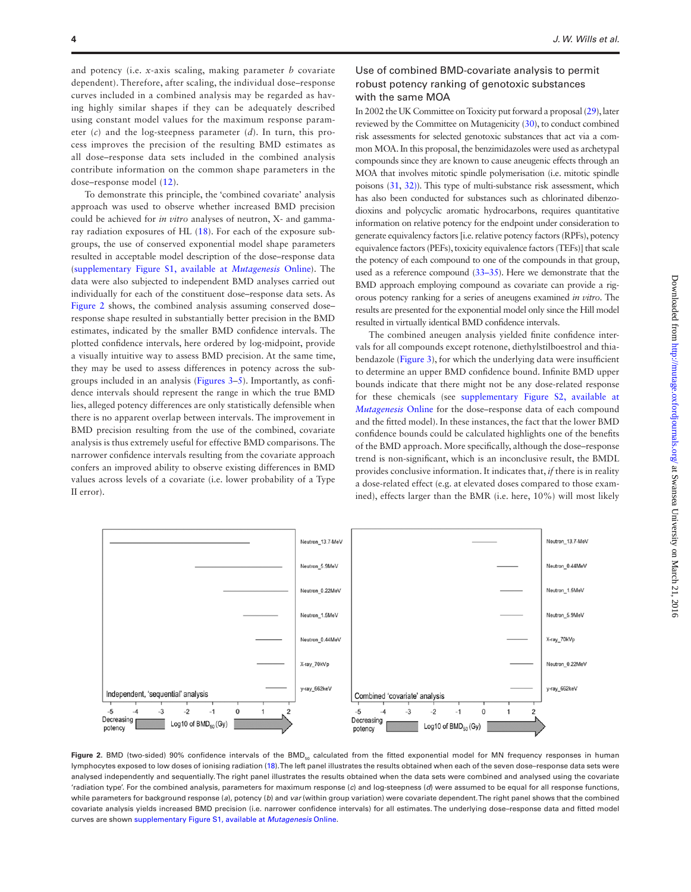and potency (i.e. *x*-axis scaling, making parameter *b* covariate dependent). Therefore, after scaling, the individual dose–response curves included in a combined analysis may be regarded as having highly similar shapes if they can be adequately described using constant model values for the maximum response parameter (*c*) and the log-steepness parameter (*d*). In turn, this process improves the precision of the resulting BMD estimates as all dose–response data sets included in the combined analysis contribute information on the common shape parameters in the dose–response model (12).

To demonstrate this principle, the 'combined covariate' analysis approach was used to observe whether increased BMD precision could be achieved for *in vitro* analyses of neutron, X- and gammaray radiation exposures of HL (18). For each of the exposure subgroups, the use of conserved exponential model shape parameters resulted in acceptable model description of the dose–response data (supplementary Figure S1, available at *Mutagenesis* Online). The data were also subjected to independent BMD analyses carried out individually for each of the constituent dose–response data sets. As Figure 2 shows, the combined analysis assuming conserved doseresponse shape resulted in substantially better precision in the BMD estimates, indicated by the smaller BMD confidence intervals. The plotted confidence intervals, here ordered by log-midpoint, provide a visually intuitive way to assess BMD precision. At the same time, they may be used to assess differences in potency across the subgroups included in an analysis (Figures 3–5). Importantly, as confidence intervals should represent the range in which the true BMD lies, alleged potency differences are only statistically defensible when there is no apparent overlap between intervals. The improvement in BMD precision resulting from the use of the combined, covariate analysis is thus extremely useful for effective BMD comparisons. The narrower confidence intervals resulting from the covariate approach confers an improved ability to observe existing differences in BMD values across levels of a covariate (i.e. lower probability of a Type II error).

## Use of combined BMD-covariate analysis to permit robust potency ranking of genotoxic substances with the same MOA

In 2002 the UK Committee on Toxicity put forward a proposal (29), later reviewed by the Committee on Mutagenicity (30), to conduct combined risk assessments for selected genotoxic substances that act via a common MOA. In this proposal, the benzimidazoles were used as archetypal compounds since they are known to cause aneugenic effects through an MOA that involves mitotic spindle polymerisation (i.e. mitotic spindle poisons (31, 32)). This type of multi-substance risk assessment, which has also been conducted for substances such as chlorinated dibenzodioxins and polycyclic aromatic hydrocarbons, requires quantitative information on relative potency for the endpoint under consideration to generate equivalency factors [i.e. relative potency factors (RPFs), potency equivalence factors (PEFs), toxicity equivalence factors (TEFs)] that scale the potency of each compound to one of the compounds in that group, used as a reference compound (33–35). Here we demonstrate that the BMD approach employing compound as covariate can provide a rigorous potency ranking for a series of aneugens examined *in vitro.* The results are presented for the exponential model only since the Hill model resulted in virtually identical BMD confidence intervals.

The combined aneugen analysis yielded finite confidence intervals for all compounds except rotenone, diethylstilboestrol and thiabendazole (Figure 3), for which the underlying data were insufficient to determine an upper BMD confidence bound. Infinite BMD upper bounds indicate that there might not be any dose-related response for these chemicals (see supplementary Figure S2, available at *Mutagenesis* Online for the dose–response data of each compound and the fitted model). In these instances, the fact that the lower BMD confidence bounds could be calculated highlights one of the benefits of the BMD approach. More specifically, although the dose–response trend is non-significant, which is an inconclusive result, the BMDL provides conclusive information. It indicates that, *if* there is in reality a dose-related effect (e.g. at elevated doses compared to those examined), effects larger than the BMR (i.e. here, 10%) will most likely



Figure 2. BMD (two-sided) 90% confidence intervals of the BMD<sub>50</sub> calculated from the fitted exponential model for MN frequency responses in human lymphocytes exposed to low doses of ionising radiation (18). The left panel illustrates the results obtained when each of the seven dose–response data sets were analysed independently and sequentially. The right panel illustrates the results obtained when the data sets were combined and analysed using the covariate 'radiation type'. For the combined analysis, parameters for maximum response (*c*) and log-steepness (*d*) were assumed to be equal for all response functions, while parameters for background response (*a*), potency (*b*) and *var* (within group variation) were covariate dependent. The right panel shows that the combined covariate analysis yields increased BMD precision (i.e. narrower confidence intervals) for all estimates. The underlying dose–response data and fitted model curves are shown supplementary Figure S1, available at *Mutagenesis* Online.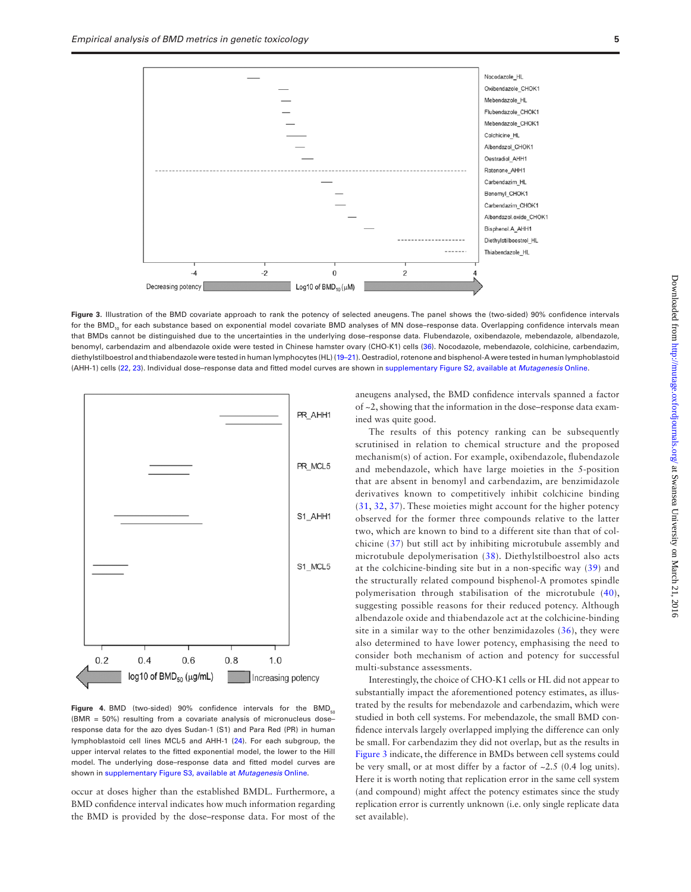

**Figure 3.** Illustration of the BMD covariate approach to rank the potency of selected aneugens. The panel shows the (two-sided) 90% confidence intervals for the BMD<sub>10</sub> for each substance based on exponential model covariate BMD analyses of MN dose-response data. Overlapping confidence intervals mean that BMDs cannot be distinguished due to the uncertainties in the underlying dose-response data. Flubendazole, oxibendazole, mebendazole, albendazole, benomyl, carbendazim and albendazole oxide were tested in Chinese hamster ovary (CHO-K1) cells (36). Nocodazole, mebendazole, colchicine, carbendazim, diethylstilboestrol and thiabendazole were tested in human lymphocytes (HL) (19–21). Oestradiol, rotenone and bisphenol-A were tested in human lymphoblastoid (AHH-1) cells (22, 23). Individual dose–response data and fitted model curves are shown in supplementary Figure S2, available at *Mutagenesis* Online.



**Figure 4.** BMD (two-sided) 90% confidence intervals for the BMD $_{50}$ (BMR = 50%) resulting from a covariate analysis of micronucleus dose– response data for the azo dyes Sudan-1 (S1) and Para Red (PR) in human lymphoblastoid cell lines MCL-5 and AHH-1 (24). For each subgroup, the upper interval relates to the fitted exponential model, the lower to the Hill model. The underlying dose–response data and fitted model curves are shown in supplementary Figure S3, available at *Mutagenesis* Online.

occur at doses higher than the established BMDL. Furthermore, a BMD confidence interval indicates how much information regarding the BMD is provided by the dose–response data. For most of the aneugens analysed, the BMD confidence intervals spanned a factor of ~2, showing that the information in the dose–response data examined was quite good.

The results of this potency ranking can be subsequently scrutinised in relation to chemical structure and the proposed mechanism(s) of action. For example, oxibendazole, flubendazole and mebendazole, which have large moieties in the 5-position that are absent in benomyl and carbendazim, are benzimidazole derivatives known to competitively inhibit colchicine binding (31, 32, 37). These moieties might account for the higher potency observed for the former three compounds relative to the latter two, which are known to bind to a different site than that of colchicine (37) but still act by inhibiting microtubule assembly and microtubule depolymerisation (38). Diethylstilboestrol also acts at the colchicine-binding site but in a non-specific way (39) and the structurally related compound bisphenol-A promotes spindle polymerisation through stabilisation of the microtubule (40), suggesting possible reasons for their reduced potency. Although albendazole oxide and thiabendazole act at the colchicine-binding site in a similar way to the other benzimidazoles (36), they were also determined to have lower potency, emphasising the need to consider both mechanism of action and potency for successful multi-substance assessments.

Interestingly, the choice of CHO-K1 cells or HL did not appear to substantially impact the aforementioned potency estimates, as illustrated by the results for mebendazole and carbendazim, which were studied in both cell systems. For mebendazole, the small BMD confidence intervals largely overlapped implying the difference can only be small. For carbendazim they did not overlap, but as the results in Figure 3 indicate, the difference in BMDs between cell systems could be very small, or at most differ by a factor of ~2.5 (0.4 log units). Here it is worth noting that replication error in the same cell system (and compound) might affect the potency estimates since the study replication error is currently unknown (i.e. only single replicate data set available).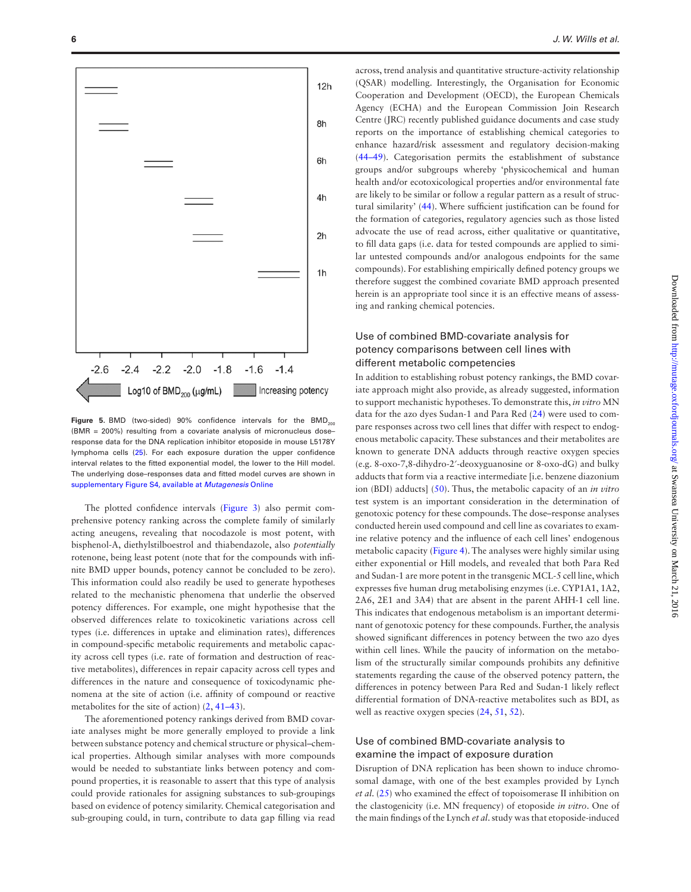

Figure 5. BMD (two-sided) 90% confidence intervals for the BMD<sub>200</sub> (BMR = 200%) resulting from a covariate analysis of micronucleus doseresponse data for the DNA replication inhibitor etoposide in mouse L5178Y lymphoma cells (25). For each exposure duration the upper confidence interval relates to the fitted exponential model, the lower to the Hill model. The underlying dose–responses data and fitted model curves are shown in supplementary Figure S4, available at *Mutagenesis* Online

The plotted confidence intervals (Figure 3) also permit comprehensive potency ranking across the complete family of similarly acting aneugens, revealing that nocodazole is most potent, with bisphenol-A, diethylstilboestrol and thiabendazole, also *potentially* rotenone, being least potent (note that for the compounds with infinite BMD upper bounds, potency cannot be concluded to be zero). This information could also readily be used to generate hypotheses related to the mechanistic phenomena that underlie the observed potency differences. For example, one might hypothesise that the observed differences relate to toxicokinetic variations across cell types (i.e. differences in uptake and elimination rates), differences in compound-specific metabolic requirements and metabolic capacity across cell types (i.e. rate of formation and destruction of reactive metabolites), differences in repair capacity across cell types and differences in the nature and consequence of toxicodynamic phenomena at the site of action (i.e. affinity of compound or reactive metabolites for the site of action) (2, 41–43).

The aforementioned potency rankings derived from BMD covariate analyses might be more generally employed to provide a link between substance potency and chemical structure or physical–chemical properties. Although similar analyses with more compounds would be needed to substantiate links between potency and compound properties, it is reasonable to assert that this type of analysis could provide rationales for assigning substances to sub-groupings based on evidence of potency similarity. Chemical categorisation and sub-grouping could, in turn, contribute to data gap filling via read

across, trend analysis and quantitative structure-activity relationship (QSAR) modelling. Interestingly, the Organisation for Economic Cooperation and Development (OECD), the European Chemicals Agency (ECHA) and the European Commission Join Research Centre (JRC) recently published guidance documents and case study reports on the importance of establishing chemical categories to enhance hazard/risk assessment and regulatory decision-making (44–49). Categorisation permits the establishment of substance groups and/or subgroups whereby 'physicochemical and human health and/or ecotoxicological properties and/or environmental fate are likely to be similar or follow a regular pattern as a result of structural similarity' (44). Where sufficient justification can be found for the formation of categories, regulatory agencies such as those listed advocate the use of read across, either qualitative or quantitative, to fill data gaps (i.e. data for tested compounds are applied to similar untested compounds and/or analogous endpoints for the same compounds). For establishing empirically defined potency groups we therefore suggest the combined covariate BMD approach presented herein is an appropriate tool since it is an effective means of assessing and ranking chemical potencies.

# Use of combined BMD-covariate analysis for potency comparisons between cell lines with different metabolic competencies

In addition to establishing robust potency rankings, the BMD covariate approach might also provide, as already suggested, information to support mechanistic hypotheses. To demonstrate this, *in vitro* MN data for the azo dyes Sudan-1 and Para Red (24) were used to compare responses across two cell lines that differ with respect to endogenous metabolic capacity. These substances and their metabolites are known to generate DNA adducts through reactive oxygen species (e.g. 8-oxo-7,8-dihydro-2′-deoxyguanosine or 8-oxo-dG) and bulky adducts that form via a reactive intermediate [i.e. benzene diazonium ion (BDI) adducts] (50). Thus, the metabolic capacity of an *in vitro* test system is an important consideration in the determination of genotoxic potency for these compounds. The dose–response analyses conducted herein used compound and cell line as covariates to examine relative potency and the influence of each cell lines' endogenous metabolic capacity (Figure 4). The analyses were highly similar using either exponential or Hill models, and revealed that both Para Red and Sudan-1 are more potent in the transgenic MCL-5 cell line, which expresses five human drug metabolising enzymes (i.e. CYP1A1, 1A2, 2A6, 2E1 and 3A4) that are absent in the parent AHH-1 cell line. This indicates that endogenous metabolism is an important determinant of genotoxic potency for these compounds. Further, the analysis showed significant differences in potency between the two azo dyes within cell lines. While the paucity of information on the metabolism of the structurally similar compounds prohibits any definitive statements regarding the cause of the observed potency pattern, the differences in potency between Para Red and Sudan-1 likely reflect differential formation of DNA-reactive metabolites such as BDI, as well as reactive oxygen species  $(24, 51, 52)$ .

#### Use of combined BMD-covariate analysis to examine the impact of exposure duration

Disruption of DNA replication has been shown to induce chromosomal damage, with one of the best examples provided by Lynch *et al*. (25) who examined the effect of topoisomerase II inhibition on the clastogenicity (i.e. MN frequency) of etoposide *in vitro*. One of the main findings of the Lynch *et al*. study was that etoposide-induced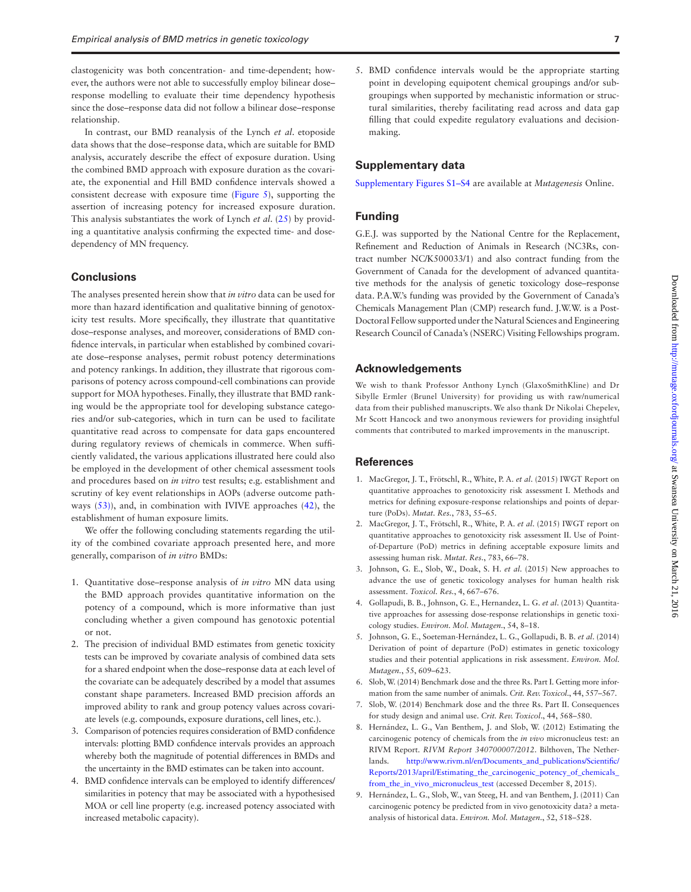clastogenicity was both concentration- and time-dependent; however, the authors were not able to successfully employ bilinear dose– response modelling to evaluate their time dependency hypothesis since the dose–response data did not follow a bilinear dose–response relationship.

In contrast, our BMD reanalysis of the Lynch *et al*. etoposide data shows that the dose–response data, which are suitable for BMD analysis, accurately describe the effect of exposure duration. Using the combined BMD approach with exposure duration as the covariate, the exponential and Hill BMD confidence intervals showed a consistent decrease with exposure time (Figure 5), supporting the assertion of increasing potency for increased exposure duration. This analysis substantiates the work of Lynch *et al*. (25) by providing a quantitative analysis confirming the expected time- and dosedependency of MN frequency.

# **Conclusions**

The analyses presented herein show that *in vitro* data can be used for more than hazard identification and qualitative binning of genotoxicity test results. More specifically, they illustrate that quantitative dose–response analyses, and moreover, considerations of BMD confidence intervals, in particular when established by combined covariate dose–response analyses, permit robust potency determinations and potency rankings. In addition, they illustrate that rigorous comparisons of potency across compound-cell combinations can provide support for MOA hypotheses. Finally, they illustrate that BMD ranking would be the appropriate tool for developing substance categories and/or sub-categories, which in turn can be used to facilitate quantitative read across to compensate for data gaps encountered during regulatory reviews of chemicals in commerce. When sufficiently validated, the various applications illustrated here could also be employed in the development of other chemical assessment tools and procedures based on *in vitro* test results; e.g. establishment and scrutiny of key event relationships in AOPs (adverse outcome pathways (53)), and, in combination with IVIVE approaches (42), the establishment of human exposure limits.

We offer the following concluding statements regarding the utility of the combined covariate approach presented here, and more generally, comparison of *in vitro* BMDs:

- 1. Quantitative dose–response analysis of *in vitro* MN data using the BMD approach provides quantitative information on the potency of a compound, which is more informative than just concluding whether a given compound has genotoxic potential or not.
- 2. The precision of individual BMD estimates from genetic toxicity tests can be improved by covariate analysis of combined data sets for a shared endpoint when the dose–response data at each level of the covariate can be adequately described by a model that assumes constant shape parameters. Increased BMD precision affords an improved ability to rank and group potency values across covariate levels (e.g. compounds, exposure durations, cell lines, etc.).
- 3. Comparison of potencies requires consideration of BMD confidence intervals: plotting BMD confidence intervals provides an approach whereby both the magnitude of potential differences in BMDs and the uncertainty in the BMD estimates can be taken into account.
- 4. BMD confidence intervals can be employed to identify differences/ similarities in potency that may be associated with a hypothesised MOA or cell line property (e.g. increased potency associated with increased metabolic capacity).

5. BMD confidence intervals would be the appropriate starting point in developing equipotent chemical groupings and/or subgroupings when supported by mechanistic information or structural similarities, thereby facilitating read across and data gap filling that could expedite regulatory evaluations and decisionmaking.

#### **Supplementary data**

Supplementary Figures S1–S4 are available at *Mutagenesis* Online.

#### **Funding**

G.E.J. was supported by the National Centre for the Replacement, Refinement and Reduction of Animals in Research (NC3Rs, contract number NC/K500033/1) and also contract funding from the Government of Canada for the development of advanced quantitative methods for the analysis of genetic toxicology dose–response data. P.A.W.'s funding was provided by the Government of Canada's Chemicals Management Plan (CMP) research fund. J.W.W. is a Post-Doctoral Fellow supported under the Natural Sciences and Engineering Research Council of Canada's (NSERC) Visiting Fellowships program.

#### **Acknowledgements**

We wish to thank Professor Anthony Lynch (GlaxoSmithKline) and Dr Sibylle Ermler (Brunel University) for providing us with raw/numerical data from their published manuscripts. We also thank Dr Nikolai Chepelev, Mr Scott Hancock and two anonymous reviewers for providing insightful comments that contributed to marked improvements in the manuscript.

#### **References**

- 1. MacGregor, J. T., Frötschl, R., White, P. A. *et al*. (2015) IWGT Report on quantitative approaches to genotoxicity risk assessment I. Methods and metrics for defining exposure-response relationships and points of departure (PoDs). *Mutat. Res.*, 783, 55–65.
- 2. MacGregor, J. T., Frötschl, R., White, P. A. *et al*. (2015) IWGT report on quantitative approaches to genotoxicity risk assessment II. Use of Pointof-Departure (PoD) metrics in defining acceptable exposure limits and assessing human risk. *Mutat. Res.*, 783, 66–78.
- 3. Johnson, G. E., Slob, W., Doak, S. H. *et al*. (2015) New approaches to advance the use of genetic toxicology analyses for human health risk assessment. *Toxicol. Res.*, 4, 667–676.
- 4. Gollapudi, B. B., Johnson, G. E., Hernandez, L. G. *et al*. (2013) Quantitative approaches for assessing dose-response relationships in genetic toxicology studies. *Environ. Mol. Mutagen.*, 54, 8–18.
- 5. Johnson, G. E., Soeteman-Hernández, L. G., Gollapudi, B. B. *et al*. (2014) Derivation of point of departure (PoD) estimates in genetic toxicology studies and their potential applications in risk assessment. *Environ. Mol. Mutagen.*, 55, 609–623.
- 6. Slob, W. (2014) Benchmark dose and the three Rs. Part I. Getting more information from the same number of animals. *Crit. Rev. Toxicol*., 44, 557–567.
- 7. Slob, W. (2014) Benchmark dose and the three Rs. Part II. Consequences for study design and animal use. *Crit. Rev. Toxicol*., 44, 568–580.
- 8. Hernández, L. G., Van Benthem, J. and Slob, W. (2012) Estimating the carcinogenic potency of chemicals from the *in vivo* micronucleus test: an RIVM Report. *RIVM Report 340700007/2012*. Bilthoven, The Netherlands. http://www.rivm.nl/en/Documents\_and\_publications/Scientific/ Reports/2013/april/Estimating\_the\_carcinogenic\_potency\_of\_chemicals\_ from\_the\_in\_vivo\_micronucleus\_test (accessed December 8, 2015).
- 9. Hernández, L. G., Slob, W., van Steeg, H. and van Benthem, J. (2011) Can carcinogenic potency be predicted from in vivo genotoxicity data? a metaanalysis of historical data. *Environ. Mol. Mutagen*., 52, 518–528.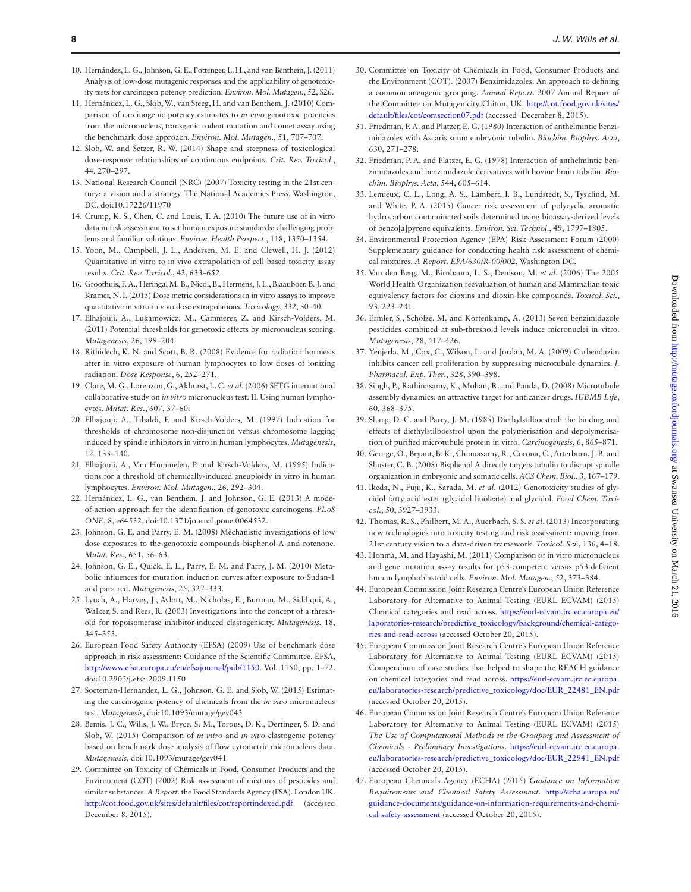- 10. Hernández, L. G., Johnson, G. E., Pottenger, L. H., and van Benthem, J. (2011) Analysis of low-dose mutagenic responses and the applicability of genotoxicity tests for carcinogen potency prediction. *Environ. Mol. Mutagen.*, 52, S26.
- 11. Hernández, L. G., Slob, W., van Steeg, H. and van Benthem, J. (2010) Comparison of carcinogenic potency estimates to *in vivo* genotoxic potencies from the micronucleus, transgenic rodent mutation and comet assay using the benchmark dose approach. *Environ. Mol. Mutagen.*, 51, 707–707.
- 12. Slob, W. and Setzer, R. W. (2014) Shape and steepness of toxicological dose-response relationships of continuous endpoints. *Crit. Rev. Toxicol*., 44, 270–297.
- 13. National Research Council (NRC) (2007) Toxicity testing in the 21st century: a vision and a strategy. The National Academies Press, Washington, DC, doi:10.17226/11970
- 14. Crump, K. S., Chen, C. and Louis, T. A. (2010) The future use of in vitro data in risk assessment to set human exposure standards: challenging problems and familiar solutions. *Environ. Health Perspect*., 118, 1350–1354.
- 15. Yoon, M., Campbell, J. L., Andersen, M. E. and Clewell, H. J. (2012) Quantitative in vitro to in vivo extrapolation of cell-based toxicity assay results. *Crit. Rev. Toxicol*., 42, 633–652.
- 16. Groothuis, F. A., Heringa, M. B., Nicol, B., Hermens, J. L., Blaauboer, B. J. and Kramer, N. I. (2015) Dose metric considerations in in vitro assays to improve quantitative in vitro-in vivo dose extrapolations. *Toxicology*, 332, 30–40.
- 17. Elhajouji, A., Lukamowicz, M., Cammerer, Z. and Kirsch-Volders, M. (2011) Potential thresholds for genotoxic effects by micronucleus scoring. *Mutagenesis*, 26, 199–204.
- 18. Rithidech, K. N. and Scott, B. R. (2008) Evidence for radiation hormesis after in vitro exposure of human lymphocytes to low doses of ionizing radiation. *Dose Response*, 6, 252–271.
- 19. Clare, M. G., Lorenzon, G., Akhurst, L. C. *et al*. (2006) SFTG international collaborative study on *in vitro* micronucleus test: II. Using human lymphocytes. *Mutat. Res.*, 607, 37–60.
- 20. Elhajouji, A., Tibaldi, F. and Kirsch-Volders, M. (1997) Indication for thresholds of chromosome non-disjunction versus chromosome lagging induced by spindle inhibitors in vitro in human lymphocytes. *Mutagenesis*, 12, 133–140.
- 21. Elhajouji, A., Van Hummelen, P. and Kirsch-Volders, M. (1995) Indications for a threshold of chemically-induced aneuploidy in vitro in human lymphocytes. *Environ. Mol. Mutagen*., 26, 292–304.
- 22. Hernández, L. G., van Benthem, J. and Johnson, G. E. (2013) A modeof-action approach for the identification of genotoxic carcinogens. *PLoS ONE*, 8, e64532, doi:10.1371/journal.pone.0064532.
- 23. Johnson, G. E. and Parry, E. M. (2008) Mechanistic investigations of low dose exposures to the genotoxic compounds bisphenol-A and rotenone. *Mutat. Res*., 651, 56–63.
- 24. Johnson, G. E., Quick, E. L., Parry, E. M. and Parry, J. M. (2010) Metabolic influences for mutation induction curves after exposure to Sudan-1 and para red. *Mutagenesis*, 25, 327–333.
- 25. Lynch, A., Harvey, J., Aylott, M., Nicholas, E., Burman, M., Siddiqui, A., Walker, S. and Rees, R. (2003) Investigations into the concept of a threshold for topoisomerase inhibitor-induced clastogenicity. *Mutagenesis*, 18, 345–353.
- 26. European Food Safety Authority (EFSA) (2009) Use of benchmark dose approach in risk assessment: Guidance of the Scientific Committee. EFSA, http://www.efsa.europa.eu/en/efsajournal/pub/1150. Vol. 1150, pp. 1–72. doi:10.2903/j.efsa.2009.1150
- 27. Soeteman-Hernandez, L. G., Johnson, G. E. and Slob, W. (2015) Estimating the carcinogenic potency of chemicals from the *in vivo* micronucleus test. *Mutagenesis*, doi:10.1093/mutage/gev043
- 28. Bemis, J. C., Wills, J. W., Bryce, S. M., Torous, D. K., Dertinger, S. D. and Slob, W. (2015) Comparison of *in vitro* and *in vivo* clastogenic potency based on benchmark dose analysis of flow cytometric micronucleus data. *Mutagenesis*, doi:10.1093/mutage/gev041
- 29. Committee on Toxicity of Chemicals in Food, Consumer Products and the Environment (COT) (2002) Risk assessment of mixtures of pesticides and similar substances. *A Report*. the Food Standards Agency (FSA). London UK. http://cot.food.gov.uk/sites/default/files/cot/reportindexed.pdf (accessed December 8, 2015).
- 30. Committee on Toxicity of Chemicals in Food, Consumer Products and the Environment (COT). (2007) Benzimidazoles: An approach to defining a common aneugenic grouping. *Annual Report*. 2007 Annual Report of the Committee on Mutagenicity Chiton, UK. http://cot.food.gov.uk/sites/ default/files/cot/comsection07.pdf (accessed December 8, 2015).
- 31. Friedman, P. A. and Platzer, E. G. (1980) Interaction of anthelmintic benzimidazoles with Ascaris suum embryonic tubulin. *Biochim. Biophys. Acta*, 630, 271–278.
- 32. Friedman, P. A. and Platzer, E. G. (1978) Interaction of anthelmintic benzimidazoles and benzimidazole derivatives with bovine brain tubulin. *Biochim. Biophys. Acta*, 544, 605–614.
- 33. Lemieux, C. L., Long, A. S., Lambert, I. B., Lundstedt, S., Tysklind, M. and White, P. A. (2015) Cancer risk assessment of polycyclic aromatic hydrocarbon contaminated soils determined using bioassay-derived levels of benzo[a]pyrene equivalents. *Environ. Sci. Technol*., 49, 1797–1805.
- 34. Environmental Protection Agency (EPA) Risk Assessment Forum (2000) Supplementary guidance for conducting health risk assessment of chemical mixtures. *A Report. EPA/630/R-00/002*, Washington DC.
- 35. Van den Berg, M., Birnbaum, L. S., Denison, M. *et al*. (2006) The 2005 World Health Organization reevaluation of human and Mammalian toxic equivalency factors for dioxins and dioxin-like compounds. *Toxicol. Sci.*, 93, 223–241.
- 36. Ermler, S., Scholze, M. and Kortenkamp, A. (2013) Seven benzimidazole pesticides combined at sub-threshold levels induce micronuclei in vitro. *Mutagenesis*, 28, 417–426.
- 37. Yenjerla, M., Cox, C., Wilson, L. and Jordan, M. A. (2009) Carbendazim inhibits cancer cell proliferation by suppressing microtubule dynamics. *J. Pharmacol. Exp. Ther*., 328, 390–398.
- 38. Singh, P., Rathinasamy, K., Mohan, R. and Panda, D. (2008) Microtubule assembly dynamics: an attractive target for anticancer drugs. *IUBMB Life*, 60, 368–375.
- 39. Sharp, D. C. and Parry, J. M. (1985) Diethylstilboestrol: the binding and effects of diethylstilboestrol upon the polymerisation and depolymerisation of purified microtubule protein in vitro. *Carcinogenesis*, 6, 865–871.
- 40. George, O., Bryant, B. K., Chinnasamy, R., Corona, C., Arterburn, J. B. and Shuster, C. B. (2008) Bisphenol A directly targets tubulin to disrupt spindle organization in embryonic and somatic cells. *ACS Chem. Biol*., 3, 167–179.
- 41. Ikeda, N., Fujii, K., Sarada, M. *et al*. (2012) Genotoxicity studies of glycidol fatty acid ester (glycidol linoleate) and glycidol. *Food Chem. Toxicol.*, 50, 3927–3933.
- 42. Thomas, R. S., Philbert, M. A., Auerbach, S. S. *et al*. (2013) Incorporating new technologies into toxicity testing and risk assessment: moving from 21st century vision to a data-driven framework. *Toxicol. Sci.*, 136, 4–18.
- 43. Honma, M. and Hayashi, M. (2011) Comparison of in vitro micronucleus and gene mutation assay results for p53-competent versus p53-deficient human lymphoblastoid cells. *Environ. Mol. Mutagen*., 52, 373–384.
- 44. European Commission Joint Research Centre's European Union Reference Laboratory for Alternative to Animal Testing (EURL ECVAM) (2015) Chemical categories and read across. https://eurl-ecvam.jrc.ec.europa.eu/ laboratories-research/predictive\_toxicology/background/chemical-categories-and-read-across (accessed October 20, 2015).
- 45. European Commission Joint Research Centre's European Union Reference Laboratory for Alternative to Animal Testing (EURL ECVAM) (2015) Compendium of case studies that helped to shape the REACH guidance on chemical categories and read across. https://eurl-ecvam.jrc.ec.europa. eu/laboratories-research/predictive\_toxicology/doc/EUR\_22481\_EN.pdf (accessed October 20, 2015).
- 46. European Commission Joint Research Centre's European Union Reference Laboratory for Alternative to Animal Testing (EURL ECVAM) (2015) *The Use of Computational Methods in the Grouping and Assessment of Chemicals - Preliminary Investigations*. https://eurl-ecvam.jrc.ec.europa. eu/laboratories-research/predictive\_toxicology/doc/EUR\_22941\_EN.pdf (accessed October 20, 2015).
- 47. European Chemicals Agency (ECHA) (2015) *Guidance on Information Requirements and Chemical Safety Assessment*. http://echa.europa.eu/ guidance-documents/guidance-on-information-requirements-and-chemical-safety-assessment (accessed October 20, 2015).